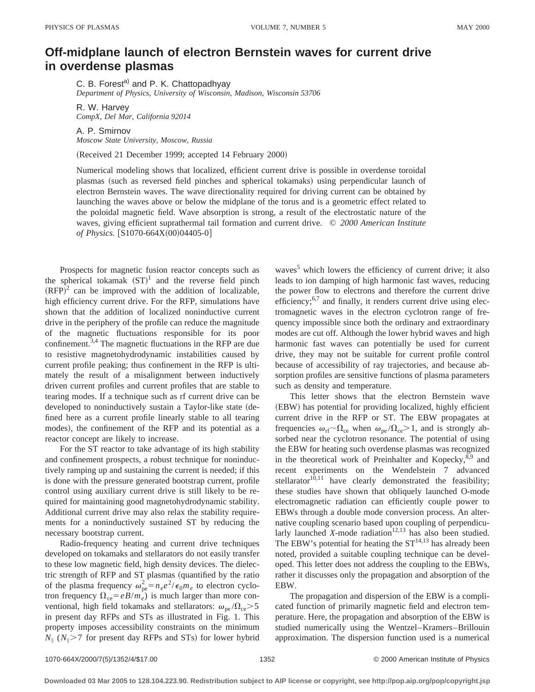## **Off-midplane launch of electron Bernstein waves for current drive in overdense plasmas**

C. B. Forest<sup>a)</sup> and P. K. Chattopadhyay *Department of Physics, University of Wisconsin, Madison, Wisconsin 53706*

R. W. Harvey *CompX, Del Mar, California 92014*

A. P. Smirnov

*Moscow State University, Moscow, Russia*

(Received 21 December 1999; accepted 14 February 2000)

Numerical modeling shows that localized, efficient current drive is possible in overdense toroidal plasmas (such as reversed field pinches and spherical tokamaks) using perpendicular launch of electron Bernstein waves. The wave directionality required for driving current can be obtained by launching the waves above or below the midplane of the torus and is a geometric effect related to the poloidal magnetic field. Wave absorption is strong, a result of the electrostatic nature of the waves, giving efficient suprathermal tail formation and current drive. © *2000 American Institute of Physics.* [S1070-664X(00)04405-0]

Prospects for magnetic fusion reactor concepts such as the spherical tokamak  $(ST)^1$  and the reverse field pinch  $(RFP)^2$  can be improved with the addition of localizable, high efficiency current drive. For the RFP, simulations have shown that the addition of localized noninductive current drive in the periphery of the profile can reduce the magnitude of the magnetic fluctuations responsible for its poor confinement.3,4 The magnetic fluctuations in the RFP are due to resistive magnetohydrodynamic instabilities caused by current profile peaking; thus confinement in the RFP is ultimately the result of a misalignment between inductively driven current profiles and current profiles that are stable to tearing modes. If a technique such as rf current drive can be developed to noninductively sustain a Taylor-like state (defined here as a current profile linearly stable to all tearing modes), the confinement of the RFP and its potential as a reactor concept are likely to increase.

For the ST reactor to take advantage of its high stability and confinement prospects, a robust technique for noninductively ramping up and sustaining the current is needed; if this is done with the pressure generated bootstrap current, profile control using auxiliary current drive is still likely to be required for maintaining good magnetohydrodynamic stability. Additional current drive may also relax the stability requirements for a noninductively sustained ST by reducing the necessary bootstrap current.

Radio-frequency heating and current drive techniques developed on tokamaks and stellarators do not easily transfer to these low magnetic field, high density devices. The dielectric strength of RFP and ST plasmas (quantified by the ratio of the plasma frequency  $\omega_{pe}^2 = n_e e^2/\epsilon_0 m_e$  to electron cyclotron frequency  $\Omega_{ce} = eB/m_e$ ) is much larger than more conventional, high field tokamaks and stellarators:  $\omega_{\text{pe}}/\Omega_{\text{ce}} > 5$ in present day RFPs and STs as illustrated in Fig. 1. This property imposes accessibility constraints on the minimum  $N_{\parallel}$  ( $N_{\parallel}$ >7 for present day RFPs and STs) for lower hybrid waves $<sup>5</sup>$  which lowers the efficiency of current drive; it also</sup> leads to ion damping of high harmonic fast waves, reducing the power flow to electrons and therefore the current drive efficiency;<sup>6,7</sup> and finally, it renders current drive using electromagnetic waves in the electron cyclotron range of frequency impossible since both the ordinary and extraordinary modes are cut off. Although the lower hybrid waves and high harmonic fast waves can potentially be used for current drive, they may not be suitable for current profile control because of accessibility of ray trajectories, and because absorption profiles are sensitive functions of plasma parameters such as density and temperature.

This letter shows that the electron Bernstein wave (EBW) has potential for providing localized, highly efficient current drive in the RFP or ST. The EBW propagates at frequencies  $\omega_{\rm rf} \sim \Omega_{\rm ce}$  when  $\omega_{\rm pe} / \Omega_{\rm ce} > 1$ , and is strongly absorbed near the cyclotron resonance. The potential of using the EBW for heating such overdense plasmas was recognized in the theoretical work of Preinhalter and Kopecky,<sup>8,9</sup> and recent experiments on the Wendelstein 7 advanced stellarator $10,11$  have clearly demonstrated the feasibility; these studies have shown that obliquely launched O-mode electromagnetic radiation can efficiently couple power to EBWs through a double mode conversion process. An alternative coupling scenario based upon coupling of perpendicularly launched *X*-mode radiation<sup>12,13</sup> has also been studied. The EBW's potential for heating the  $ST^{14,13}$  has already been noted, provided a suitable coupling technique can be developed. This letter does not address the coupling to the EBWs, rather it discusses only the propagation and absorption of the EBW.

The propagation and dispersion of the EBW is a complicated function of primarily magnetic field and electron temperature. Here, the propagation and absorption of the EBW is studied numerically using the Wentzel–Kramers–Brillouin approximation. The dispersion function used is a numerical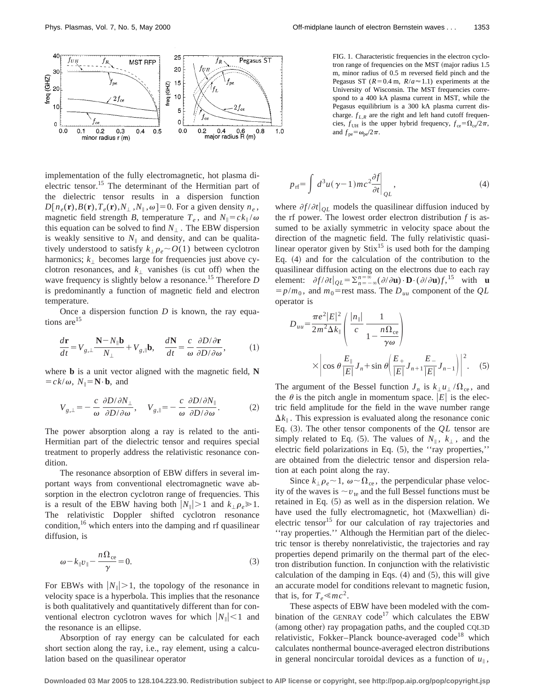

implementation of the fully electromagnetic, hot plasma dielectric tensor.15 The determinant of the Hermitian part of the dielectric tensor results in a dispersion function  $D[n_e(\mathbf{r}), B(\mathbf{r}), T_e(\mathbf{r}), N_{\perp}, N_{\parallel}, \omega] = 0$ . For a given density  $n_e$ , magnetic field strength *B*, temperature  $T_e$ , and  $N_{\parallel} = c k_{\parallel} / \omega$ this equation can be solved to find  $N_{\perp}$ . The EBW dispersion is weakly sensitive to  $N_{\parallel}$  and density, and can be qualitatively understood to satisfy  $k_{\perp} \rho_e \sim O(1)$  between cyclotron harmonics;  $k_{\perp}$  becomes large for frequencies just above cyclotron resonances, and  $k_1$  vanishes (is cut off) when the wave frequency is slightly below a resonance.<sup>15</sup> Therefore *D* is predominantly a function of magnetic field and electron temperature.

Once a dispersion function *D* is known, the ray equations are<sup>15</sup>

$$
\frac{d\mathbf{r}}{dt} = V_{g,\perp} \frac{\mathbf{N} - N_{\parallel} \mathbf{b}}{N_{\perp}} + V_{g,\parallel} \mathbf{b}, \quad \frac{d\mathbf{N}}{dt} = \frac{c}{\omega} \frac{\partial D/\partial \mathbf{r}}{\partial D/\partial \omega}, \tag{1}
$$

where **b** is a unit vector aligned with the magnetic field, **N**  $= c k/\omega$ ,  $N_{\parallel} = \mathbf{N} \cdot \mathbf{b}$ , and

$$
V_{g,\perp} = -\frac{c}{\omega} \frac{\partial D/\partial N_{\perp}}{\partial D/\partial \omega}, \quad V_{g,\parallel} = -\frac{c}{\omega} \frac{\partial D/\partial N_{\parallel}}{\partial D/\partial \omega}.
$$
 (2)

The power absorption along a ray is related to the anti-Hermitian part of the dielectric tensor and requires special treatment to properly address the relativistic resonance condition.

The resonance absorption of EBW differs in several important ways from conventional electromagnetic wave absorption in the electron cyclotron range of frequencies. This is a result of the EBW having both  $|N_{\parallel}| > 1$  and  $k_{\perp} \rho_{e} \ge 1$ . The relativistic Doppler shifted cyclotron resonance condition,  $16$  which enters into the damping and rf quasilinear diffusion, is

$$
\omega - k_{\parallel} v_{\parallel} - \frac{n\Omega_{ce}}{\gamma} = 0.
$$
 (3)

For EBWs with  $|N_{\parallel}| > 1$ , the topology of the resonance in velocity space is a hyperbola. This implies that the resonance is both qualitatively and quantitatively different than for conventional electron cyclotron waves for which  $|N_{\parallel}| < 1$  and the resonance is an ellipse.

Absorption of ray energy can be calculated for each short section along the ray, i.e., ray element, using a calculation based on the quasilinear operator

FIG. 1. Characteristic frequencies in the electron cyclotron range of frequencies on the MST (major radius  $1.5$ ) m, minor radius of 0.5 m reversed field pinch and the Pegasus ST ( $R=0.4$  m,  $R/a \approx 1.1$ ) experiments at the University of Wisconsin. The MST frequencies correspond to a 400 kA plasma current in MST, while the Pegasus equilibrium is a 300 kA plasma current discharge.  $f_{L,R}$  are the right and left hand cutoff frequencies,  $f_{\text{UH}}$  is the upper hybrid frequency,  $f_{\text{ce}} = \Omega_{\text{ce}}/2\pi$ , and  $f_{\text{pe}} = \omega_{\text{pe}}/2\pi$ .

$$
p_{\rm rf} = \int d^3u (\gamma - 1)mc^2 \frac{\partial f}{\partial t}\Big|_{QL},
$$
\n(4)

where  $\partial f / \partial t \big|_{OL}$  models the quasilinear diffusion induced by the rf power. The lowest order electron distribution *f* is assumed to be axially symmetric in velocity space about the direction of the magnetic field. The fully relativistic quasilinear operator given by  $\text{Sti}x^{15}$  is used both for the damping Eq.  $(4)$  and for the calculation of the contribution to the quasilinear diffusion acting on the electrons due to each ray element:  $\partial f/\partial t \big|_{QL} = \sum_{n=-\infty}^{n=\infty} (\partial/\partial \mathbf{u}) \cdot \mathbf{D} \cdot (\partial/\partial \mathbf{u}) f,$ <sup>15</sup> with **u**  $= p/m_0$ , and  $m_0$ =rest mass. The  $D_{uu}$  component of the *QL* operator is

$$
D_{uu} = \frac{\pi e^2 |E|^2}{2m^2 \Delta k_{\parallel}} \left( \frac{|n_{\parallel}|}{c} \frac{1}{1 - \frac{n \Omega_{ce}}{\gamma \omega}} \right)
$$

$$
\times \left| \cos \theta \frac{E_{\parallel}}{|E|} J_n + \sin \theta \left( \frac{E_+}{|E|} J_{n+1} \frac{E_-}{|E|} J_{n-1} \right) \right|^2. \quad (5)
$$

The argument of the Bessel function  $J_n$  is  $k_\perp u_\perp / \Omega_{ce}$ , and the  $\theta$  is the pitch angle in momentum space.  $|E|$  is the electric field amplitude for the field in the wave number range  $\Delta k_{\parallel}$ . This expression is evaluated along the resonance conic Eq.  $(3)$ . The other tensor components of the  $QL$  tensor are simply related to Eq. (5). The values of  $N_{\parallel}$ ,  $k_{\perp}$ , and the electric field polarizations in Eq.  $(5)$ , the "ray properties," are obtained from the dielectric tensor and dispersion relation at each point along the ray.

Since  $k_{\perp} \rho_e \sim 1$ ,  $\omega \sim \Omega_{ce}$ , the perpendicular phase velocity of the waves is  $\sim v_{te}$  and the full Bessel functions must be retained in Eq.  $(5)$  as well as in the dispersion relation. We have used the fully electromagnetic, hot (Maxwellian) dielectric tensor<sup>15</sup> for our calculation of ray trajectories and ''ray properties.'' Although the Hermitian part of the dielectric tensor is thereby nonrelativistic, the trajectories and ray properties depend primarily on the thermal part of the electron distribution function. In conjunction with the relativistic calculation of the damping in Eqs.  $(4)$  and  $(5)$ , this will give an accurate model for conditions relevant to magnetic fusion, that is, for  $T_e \ll mc^2$ .

These aspects of EBW have been modeled with the combination of the GENRAY code<sup>17</sup> which calculates the EBW (among other) ray propagation paths, and the coupled CQL3D relativistic, Fokker-Planck bounce-averaged code<sup>18</sup> which calculates nonthermal bounce-averaged electron distributions in general noncircular toroidal devices as a function of  $u_{\parallel}$ ,

**Downloaded 03 Mar 2005 to 128.104.223.90. Redistribution subject to AIP license or copyright, see http://pop.aip.org/pop/copyright.jsp**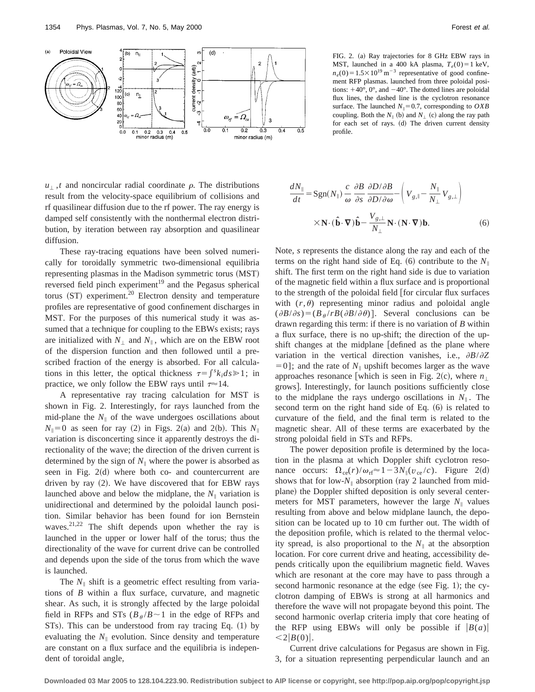

 $u_{\perp}$ , *t* and noncircular radial coordinate  $\rho$ . The distributions result from the velocity-space equilibrium of collisions and rf quasilinear diffusion due to the rf power. The ray energy is damped self consistently with the nonthermal electron distribution, by iteration between ray absorption and quasilinear diffusion.

These ray-tracing equations have been solved numerically for toroidally symmetric two-dimensional equilibria representing plasmas in the Madison symmetric torus (MST) reversed field pinch experiment $19$  and the Pegasus spherical torus  $(ST)$  experiment.<sup>20</sup> Electron density and temperature profiles are representative of good confinement discharges in MST. For the purposes of this numerical study it was assumed that a technique for coupling to the EBWs exists; rays are initialized with  $N_{\perp}$  and  $N_{\parallel}$ , which are on the EBW root of the dispersion function and then followed until a prescribed fraction of the energy is absorbed. For all calculations in this letter, the optical thickness  $\tau = \int^s k_i ds \ge 1$ ; in practice, we only follow the EBW rays until  $\tau \approx 14$ .

A representative ray tracing calculation for MST is shown in Fig. 2. Interestingly, for rays launched from the mid-plane the  $N_{\parallel}$  of the wave undergoes oscillations about  $N_{\parallel}=0$  as seen for ray (2) in Figs. 2(a) and 2(b). This  $N_{\parallel}$ variation is disconcerting since it apparently destroys the directionality of the wave; the direction of the driven current is determined by the sign of  $N_{\parallel}$  where the power is absorbed as seen in Fig.  $2(d)$  where both co- and countercurrent are driven by ray  $(2)$ . We have discovered that for EBW rays launched above and below the midplane, the  $N_{\parallel}$  variation is unidirectional and determined by the poloidal launch position. Similar behavior has been found for ion Bernstein waves. $2^{1,22}$  The shift depends upon whether the ray is launched in the upper or lower half of the torus; thus the directionality of the wave for current drive can be controlled and depends upon the side of the torus from which the wave is launched.

The  $N_{\parallel}$  shift is a geometric effect resulting from variations of *B* within a flux surface, curvature, and magnetic shear. As such, it is strongly affected by the large poloidal field in RFPs and STs ( $B_\theta/B \sim 1$  in the edge of RFPs and  $STs$ ). This can be understood from ray tracing Eq.  $(1)$  by evaluating the  $N_{\parallel}$  evolution. Since density and temperature are constant on a flux surface and the equilibria is independent of toroidal angle,

FIG. 2. (a) Ray trajectories for 8 GHz EBW rays in MST, launched in a 400 kA plasma,  $T_e(0) = 1$  keV,  $n_e(0) = 1.5 \times 10^{19} \text{ m}^{-3}$  representative of good confinement RFP plasmas. launched from three poloidal positions:  $+40^{\circ}$ ,  $0^{\circ}$ , and  $-40^{\circ}$ . The dotted lines are poloidal flux lines, the dashed line is the cyclotron resonance surface. The launched  $N_{\parallel} = 0.7$ , corresponding to *OXB* coupling. Both the  $N_{\parallel}$  (b) and  $N_{\perp}$  (c) along the ray path for each set of rays. (d) The driven current density profile.

$$
\frac{dN_{\parallel}}{dt} = \text{Sgn}(N_{\parallel}) \frac{c}{\omega} \frac{\partial B}{\partial s} \frac{\partial D/\partial B}{\partial D/\partial \omega} - \left(V_{g,\parallel} - \frac{N_{\parallel}}{N_{\perp}} V_{g,\perp}\right)
$$

$$
\times \mathbf{N} \cdot (\hat{\mathbf{b}} \cdot \nabla) \hat{\mathbf{b}} - \frac{V_{g,\perp}}{N_{\perp}} \mathbf{N} \cdot (\mathbf{N} \cdot \nabla) \mathbf{b}.
$$
(6)

Note, *s* represents the distance along the ray and each of the terms on the right hand side of Eq.  $(6)$  contribute to the  $N_{\parallel}$ shift. The first term on the right hand side is due to variation of the magnetic field within a flux surface and is proportional to the strength of the poloidal field [for circular flux surfaces with  $(r, \theta)$  representing minor radius and poloidal angle  $(\partial B/\partial s) = (B_\theta/rB(\partial B/\partial \theta)).$  Several conclusions can be drawn regarding this term: if there is no variation of *B* within a flux surface, there is no up-shift; the direction of the upshift changes at the midplane *defined* as the plane where variation in the vertical direction vanishes, i.e.,  $\partial B/\partial Z$  $\mathbf{5} = 0$ ]; and the rate of  $N_{\parallel}$  upshift becomes larger as the wave approaches resonance [which is seen in Fig. 2(c), where  $n_{\perp}$ grows... Interestingly, for launch positions sufficiently close to the midplane the rays undergo oscillations in  $N_{\parallel}$ . The second term on the right hand side of Eq.  $(6)$  is related to curvature of the field, and the final term is related to the magnetic shear. All of these terms are exacerbated by the strong poloidal field in STs and RFPs.

The power deposition profile is determined by the location in the plasma at which Doppler shift cyclotron resonance occurs:  $\Omega_{ce}(r)/\omega_{rf} \approx 1-3N_{\parallel}(v_{ce}/c)$ . Figure 2(d) shows that for low- $N_{\parallel}$  absorption (ray 2 launched from midplane) the Doppler shifted deposition is only several centermeters for MST parameters, however the large  $N_{\parallel}$  values resulting from above and below midplane launch, the deposition can be located up to 10 cm further out. The width of the deposition profile, which is related to the thermal velocity spread, is also proportional to the  $N_{\parallel}$  at the absorption location. For core current drive and heating, accessibility depends critically upon the equilibrium magnetic field. Waves which are resonant at the core may have to pass through a second harmonic resonance at the edge (see Fig. 1); the cyclotron damping of EBWs is strong at all harmonics and therefore the wave will not propagate beyond this point. The second harmonic overlap criteria imply that core heating of the RFP using EBWs will only be possible if  $|B(a)|$  $\langle 2|B(0)|.$ 

Current drive calculations for Pegasus are shown in Fig. 3, for a situation representing perpendicular launch and an